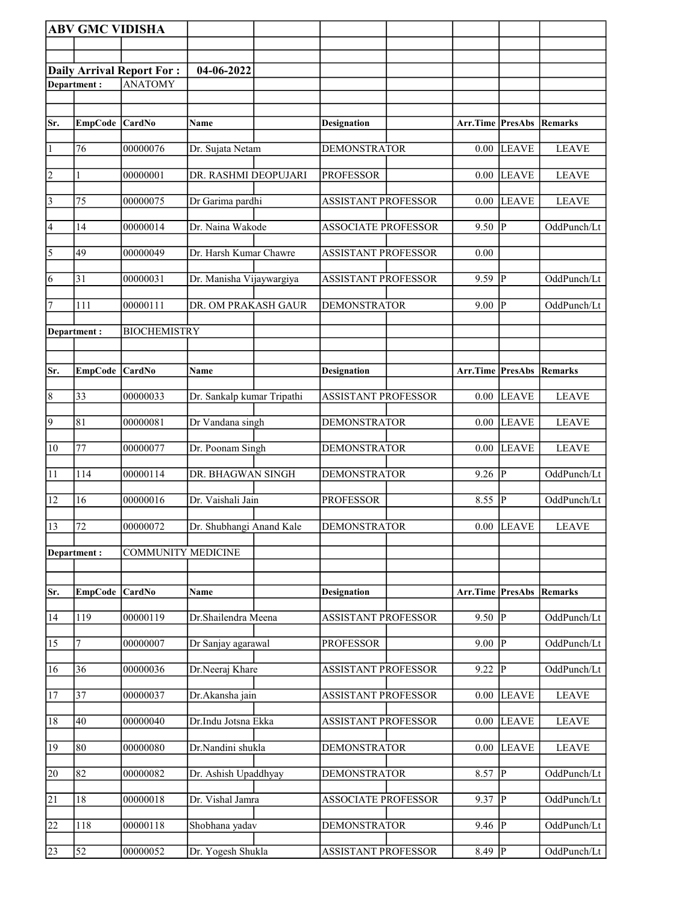|                 | <b>ABV GMC VIDISHA</b> |                           |                            |                            |                  |                |                |
|-----------------|------------------------|---------------------------|----------------------------|----------------------------|------------------|----------------|----------------|
|                 |                        |                           |                            |                            |                  |                |                |
|                 |                        | Daily Arrival Report For: | 04-06-2022                 |                            |                  |                |                |
|                 | Department:            | <b>ANATOMY</b>            |                            |                            |                  |                |                |
|                 |                        |                           |                            |                            |                  |                |                |
| Sr.             | EmpCode CardNo         |                           | Name                       | <b>Designation</b>         | Arr.Time PresAbs |                | Remarks        |
|                 |                        |                           |                            |                            |                  |                |                |
| $\overline{1}$  | 76                     | 00000076                  | Dr. Sujata Netam           | <b>DEMONSTRATOR</b>        | 0.00             | <b>LEAVE</b>   | <b>LEAVE</b>   |
| $\vert$ 2       | 1                      | 00000001                  | DR. RASHMI DEOPUJARI       | <b>PROFESSOR</b>           | 0.00             | <b>LEAVE</b>   | <b>LEAVE</b>   |
|                 |                        |                           |                            |                            |                  |                |                |
| $\vert$ 3       | 75                     | 00000075                  | Dr Garima pardhi           | <b>ASSISTANT PROFESSOR</b> | 0.00             | <b>LEAVE</b>   | <b>LEAVE</b>   |
| 4               | 14                     | 00000014                  | Dr. Naina Wakode           | <b>ASSOCIATE PROFESSOR</b> | 9.50             | P              | OddPunch/Lt    |
| $\overline{5}$  | 49                     | 00000049                  | Dr. Harsh Kumar Chawre     | <b>ASSISTANT PROFESSOR</b> | 0.00             |                |                |
|                 |                        |                           |                            |                            |                  |                |                |
| 6               | 31                     | 00000031                  | Dr. Manisha Vijaywargiya   | <b>ASSISTANT PROFESSOR</b> | $9.59$ P         |                | OddPunch/Lt    |
| 7               | 111                    | 00000111                  | DR. OM PRAKASH GAUR        | <b>DEMONSTRATOR</b>        | 9.00             | P              | OddPunch/Lt    |
|                 | Department:            | <b>BIOCHEMISTRY</b>       |                            |                            |                  |                |                |
|                 |                        |                           |                            |                            |                  |                |                |
|                 |                        | <b>CardNo</b>             |                            |                            | Arr.Time PresAbs |                |                |
| Sr.             | <b>EmpCode</b>         |                           | Name                       | <b>Designation</b>         |                  |                | <b>Remarks</b> |
| $\vert 8$       | 33                     | 00000033                  | Dr. Sankalp kumar Tripathi | <b>ASSISTANT PROFESSOR</b> |                  | $0.00$ LEAVE   | <b>LEAVE</b>   |
| $\vert$ 9       | 81                     | 00000081                  | Dr Vandana singh           | <b>DEMONSTRATOR</b>        | 0.00             | <b>LEAVE</b>   | <b>LEAVE</b>   |
|                 |                        |                           |                            |                            |                  |                |                |
| $ 10\rangle$    | 77                     | 00000077                  | Dr. Poonam Singh           | <b>DEMONSTRATOR</b>        |                  | $0.00$ LEAVE   | <b>LEAVE</b>   |
| 11              | 114                    | 00000114                  | DR. BHAGWAN SINGH          | <b>DEMONSTRATOR</b>        | 9.26             | P              | OddPunch/Lt    |
| 12              | 16                     | 00000016                  | Dr. Vaishali Jain          | <b>PROFESSOR</b>           | 8.55             | P              | OddPunch/Lt    |
| 13              | 72                     | 00000072                  | Dr. Shubhangi Anand Kale   | <b>DEMONSTRATOR</b>        |                  | $0.00$ LEAVE   | <b>LEAVE</b>   |
|                 |                        |                           |                            |                            |                  |                |                |
|                 | Department:            | <b>COMMUNITY MEDICINE</b> |                            |                            |                  |                |                |
|                 |                        |                           |                            |                            |                  |                |                |
| Sr.             | <b>EmpCode</b>         | CardNo                    | Name                       | <b>Designation</b>         | Arr.Time PresAbs |                | Remarks        |
| 14              | 119                    | 00000119                  | Dr.Shailendra Meena        | <b>ASSISTANT PROFESSOR</b> | 9.50             | P              | OddPunch/Lt    |
| 15              | 7                      | 00000007                  | Dr Sanjay agarawal         | <b>PROFESSOR</b>           | 9.00             | $\overline{P}$ | OddPunch/Lt    |
|                 |                        |                           |                            |                            |                  |                |                |
| 16              | 36                     | 00000036                  | Dr.Neeraj Khare            | <b>ASSISTANT PROFESSOR</b> | 9.22             | P              | OddPunch/Lt    |
| 17              | 37                     | 00000037                  | Dr.Akansha jain            | <b>ASSISTANT PROFESSOR</b> | 0.00             | <b>LEAVE</b>   | <b>LEAVE</b>   |
| 18              | 40                     | 00000040                  | Dr.Indu Jotsna Ekka        | <b>ASSISTANT PROFESSOR</b> | 0.00             | <b>LEAVE</b>   | <b>LEAVE</b>   |
|                 |                        |                           |                            |                            |                  |                |                |
| 19              | 80                     | 00000080                  | Dr.Nandini shukla          | <b>DEMONSTRATOR</b>        | 0.00             | <b>LEAVE</b>   | <b>LEAVE</b>   |
| $\overline{20}$ | 82                     | 00000082                  | Dr. Ashish Upaddhyay       | <b>DEMONSTRATOR</b>        | 8.57             | $\overline{P}$ | OddPunch/Lt    |
|                 | 18                     | 00000018                  | Dr. Vishal Jamra           | <b>ASSOCIATE PROFESSOR</b> | 9.37             | P              | OddPunch/Lt    |
| 21              |                        |                           |                            |                            |                  |                |                |
| $\overline{22}$ | 118                    | 00000118                  | Shobhana yadav             | <b>DEMONSTRATOR</b>        | 9.46             | P              | OddPunch/Lt    |
| 23              | 52                     | 00000052                  | Dr. Yogesh Shukla          | <b>ASSISTANT PROFESSOR</b> | $8.49$ P         |                | OddPunch/Lt    |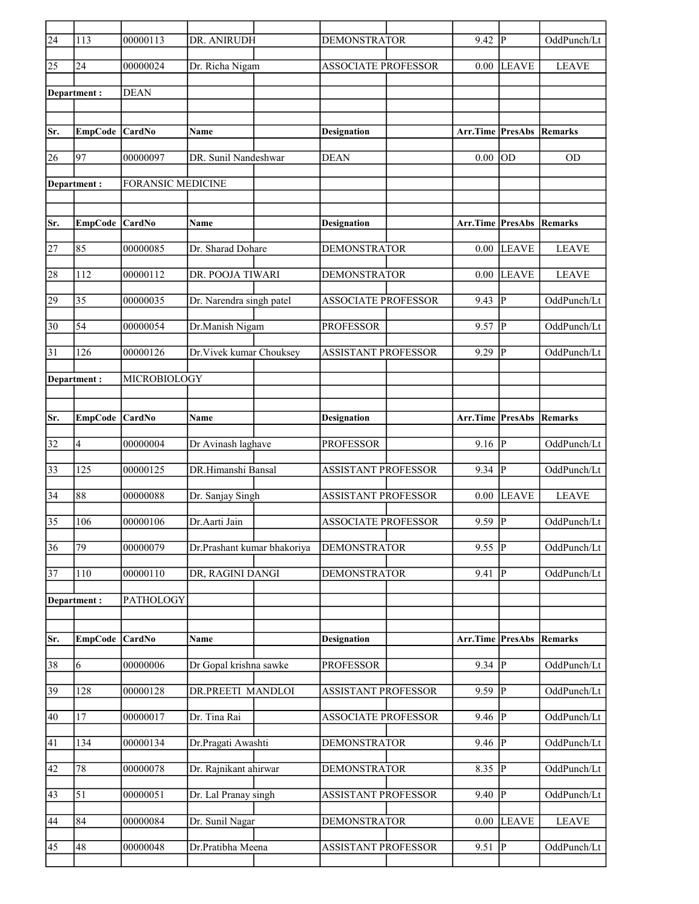| $\sqrt{24}$     | 113             | 00000113                 | DR. ANIRUDH                 | <b>DEMONSTRATOR</b>        | 9.42                    | IР             | OddPunch/Lt    |
|-----------------|-----------------|--------------------------|-----------------------------|----------------------------|-------------------------|----------------|----------------|
| 25              | 24              | 00000024                 | Dr. Richa Nigam             | <b>ASSOCIATE PROFESSOR</b> | 0.00                    | <b>LEAVE</b>   | <b>LEAVE</b>   |
|                 | Department:     | <b>DEAN</b>              |                             |                            |                         |                |                |
|                 |                 |                          |                             |                            |                         |                |                |
| Sr.             | <b>EmpCode</b>  | <b>CardNo</b>            | Name                        | <b>Designation</b>         | Arr.Time PresAbs        |                | Remarks        |
| 26              | 97              | 00000097                 | DR. Sunil Nandeshwar        | <b>DEAN</b>                | 0.00                    | OD             | <b>OD</b>      |
|                 | Department :    | <b>FORANSIC MEDICINE</b> |                             |                            |                         |                |                |
|                 |                 |                          |                             |                            |                         |                |                |
| Sr.             | <b>EmpCode</b>  | <b>CardNo</b>            | Name                        | <b>Designation</b>         | <b>Arr.Time PresAbs</b> |                | <b>Remarks</b> |
| 27              | 85              | 00000085                 | Dr. Sharad Dohare           | <b>DEMONSTRATOR</b>        | 0.00                    | <b>LEAVE</b>   | <b>LEAVE</b>   |
| 28              | 112             | 00000112                 | DR. POOJA TIWARI            | <b>DEMONSTRATOR</b>        | 0.00                    | <b>LEAVE</b>   | <b>LEAVE</b>   |
| 29              | $\overline{35}$ | 00000035                 | Dr. Narendra singh patel    | <b>ASSOCIATE PROFESSOR</b> | 9.43                    | <sup> </sup> P | OddPunch/Lt    |
| 30              | 54              | 00000054                 | Dr.Manish Nigam             | <b>PROFESSOR</b>           | 9.57                    | ∣P             | OddPunch/Lt    |
|                 |                 |                          |                             |                            |                         |                |                |
| 31              | 126             | 00000126                 | Dr. Vivek kumar Chouksey    | <b>ASSISTANT PROFESSOR</b> | 9.29                    | <sup> </sup> P | OddPunch/Lt    |
|                 | Department :    | MICROBIOLOGY             |                             |                            |                         |                |                |
|                 |                 |                          |                             |                            |                         |                |                |
| Sr.             | <b>EmpCode</b>  | <b>CardNo</b>            | Name                        | <b>Designation</b>         | Arr.Time PresAbs        |                | Remarks        |
| 32              | $\overline{4}$  | 00000004                 | Dr Avinash laghave          | <b>PROFESSOR</b>           | $9.16 \overline{P}$     |                | OddPunch/Lt    |
| 33              | 125             | 00000125                 | DR.Himanshi Bansal          | <b>ASSISTANT PROFESSOR</b> | $9.34$ P                |                | OddPunch/Lt    |
| 34              | 88              | 00000088                 | Dr. Sanjay Singh            | <b>ASSISTANT PROFESSOR</b> | 0.00                    | <b>LEAVE</b>   | <b>LEAVE</b>   |
| 35              | 106             | 00000106                 | Dr.Aarti Jain               | <b>ASSOCIATE PROFESSOR</b> | 9.59                    | p              | OddPunch/Lt    |
| $\overline{36}$ | 79              | 00000079                 | Dr.Prashant kumar bhakoriya | <b>DEMONSTRATOR</b>        | 9.55                    | $\overline{P}$ | OddPunch/Lt    |
| 37              | $110\,$         | 00000110                 | DR, RAGINI DANGI            | <b>DEMONSTRATOR</b>        | 9.41                    | P              | OddPunch/Lt    |
|                 |                 |                          |                             |                            |                         |                |                |
|                 | Department:     | PATHOLOGY                |                             |                            |                         |                |                |
| Sr.             | <b>EmpCode</b>  | CardNo                   | Name                        | <b>Designation</b>         | Arr.Time PresAbs        |                | Remarks        |
| 38              | 6               | 00000006                 | Dr Gopal krishna sawke      | <b>PROFESSOR</b>           | $9.34$ P                |                | OddPunch/Lt    |
|                 |                 |                          |                             |                            |                         |                |                |
| 39              | 128             | 00000128                 | DR.PREETI MANDLOI           | <b>ASSISTANT PROFESSOR</b> | 9.59                    | P              | OddPunch/Lt    |
| 40              | 17              | 00000017                 | Dr. Tina Rai                | <b>ASSOCIATE PROFESSOR</b> | 9.46                    | P              | OddPunch/Lt    |
| 41              | 134             | 00000134                 | Dr.Pragati Awashti          | DEMONSTRATOR               | 9.46                    | $ {\bf P} $    | OddPunch/Lt    |
| 42              | 78              | 00000078                 | Dr. Rajnikant ahirwar       | <b>DEMONSTRATOR</b>        | 8.35                    | ₽              | OddPunch/Lt    |
| 43              | 51              | 00000051                 | Dr. Lal Pranay singh        | ASSISTANT PROFESSOR        | 9.40                    | P              | OddPunch/Lt    |
| 44              | 84              | 00000084                 | Dr. Sunil Nagar             | <b>DEMONSTRATOR</b>        | 0.00                    | <b>LEAVE</b>   | <b>LEAVE</b>   |
| $ 45\rangle$    | 48              | 00000048                 | Dr.Pratibha Meena           | <b>ASSISTANT PROFESSOR</b> | 9.51                    | P              | OddPunch/Lt    |
|                 |                 |                          |                             |                            |                         |                |                |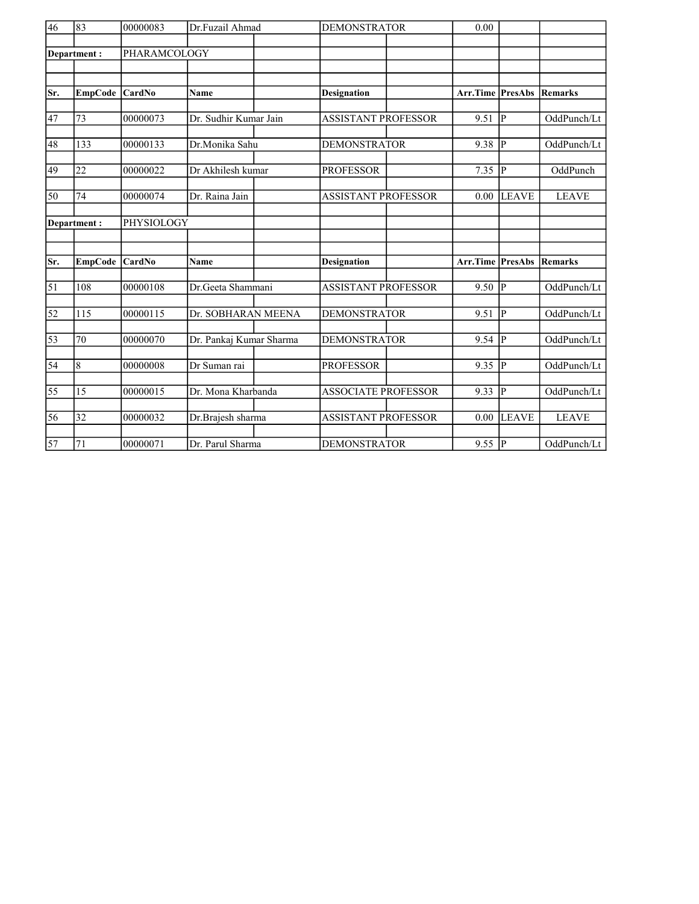| $\overline{46}$ | 83             | 00000083      | Dr.Fuzail Ahmad         | <b>DEMONSTRATOR</b>        | 0.00                    |                |                |
|-----------------|----------------|---------------|-------------------------|----------------------------|-------------------------|----------------|----------------|
|                 | Department:    | PHARAMCOLOGY  |                         |                            |                         |                |                |
|                 |                |               |                         |                            |                         |                |                |
|                 |                |               |                         |                            |                         |                |                |
| Sr.             | <b>EmpCode</b> | CardNo        | <b>Name</b>             | <b>Designation</b>         | <b>Arr.Time PresAbs</b> |                | <b>Remarks</b> |
|                 |                |               |                         |                            |                         |                |                |
| 47              | 73             | 00000073      | Dr. Sudhir Kumar Jain   | <b>ASSISTANT PROFESSOR</b> | 9.51                    | P              | OddPunch/Lt    |
| 48              | 133            | 00000133      | Dr.Monika Sahu          | <b>DEMONSTRATOR</b>        | 9.38                    | P              | OddPunch/Lt    |
|                 |                |               |                         |                            |                         |                |                |
| 49              | 22             | 00000022      | Dr Akhilesh kumar       | <b>PROFESSOR</b>           | 7.35                    | P              | OddPunch       |
|                 |                |               |                         |                            |                         |                |                |
| 50              | 74             | 00000074      | Dr. Raina Jain          | <b>ASSISTANT PROFESSOR</b> | 0.00                    | <b>LEAVE</b>   | <b>LEAVE</b>   |
|                 | Department:    | PHYSIOLOGY    |                         |                            |                         |                |                |
|                 |                |               |                         |                            |                         |                |                |
|                 |                |               |                         |                            |                         |                |                |
| Sr.             | <b>EmpCode</b> | <b>CardNo</b> | Name                    | <b>Designation</b>         | Arr.Time                | PresAbs        | Remarks        |
| 51              | 108            | 00000108      | Dr. Geeta Shammani      | <b>ASSISTANT PROFESSOR</b> | $9.50$ $\overline{P}$   |                | OddPunch/Lt    |
|                 |                |               |                         |                            |                         |                |                |
| $\overline{52}$ | 115            | 00000115      | Dr. SOBHARAN MEENA      | <b>DEMONSTRATOR</b>        | 9.51                    | <sup> </sup> P | OddPunch/Lt    |
|                 |                |               |                         |                            |                         |                |                |
| $\overline{53}$ | 70             | 00000070      | Dr. Pankaj Kumar Sharma | <b>DEMONSTRATOR</b>        | $9.54$ P                |                | OddPunch/Lt    |
| $\overline{54}$ | 8              | 00000008      | Dr Suman rai            | <b>PROFESSOR</b>           | $9.35$ P                |                | OddPunch/Lt    |
|                 |                |               |                         |                            |                         |                |                |
| 55              | 15             | 00000015      | Dr. Mona Kharbanda      | <b>ASSOCIATE PROFESSOR</b> | 9.33                    | IР             | OddPunch/Lt    |
| 56              | 32             | 00000032      | Dr.Brajesh sharma       | <b>ASSISTANT PROFESSOR</b> | 0.00                    | <b>LEAVE</b>   | <b>LEAVE</b>   |
|                 |                |               |                         |                            |                         |                |                |
| 57              | 71             | 00000071      | Dr. Parul Sharma        | <b>DEMONSTRATOR</b>        | 9.55 $ P $              |                | OddPunch/Lt    |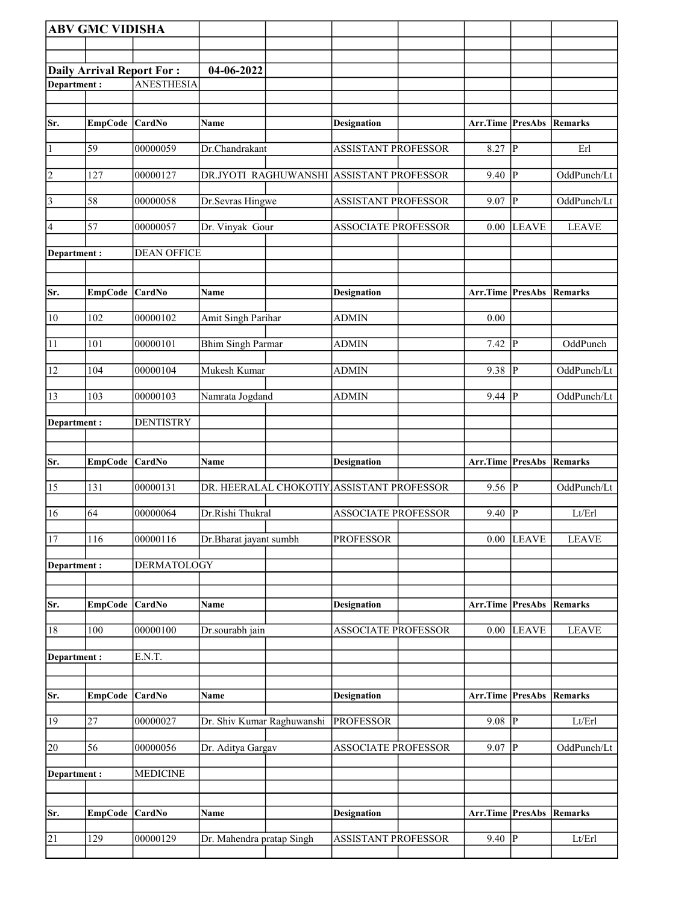|              | <b>ABV GMC VIDISHA</b> |                           |                                           |                            |                                 |                |                        |
|--------------|------------------------|---------------------------|-------------------------------------------|----------------------------|---------------------------------|----------------|------------------------|
|              |                        |                           |                                           |                            |                                 |                |                        |
|              |                        | Daily Arrival Report For: | 04-06-2022                                |                            |                                 |                |                        |
| Department:  |                        | <b>ANESTHESIA</b>         |                                           |                            |                                 |                |                        |
|              |                        |                           |                                           |                            |                                 |                |                        |
| Sr.          | <b>EmpCode</b>         | $\vert$ CardNo            | Name                                      | <b>Designation</b>         | Arr.Time PresAbs                |                | Remarks                |
| $\vert$ 1    | 59                     | 00000059                  | Dr.Chandrakant                            | <b>ASSISTANT PROFESSOR</b> | 8.27                            | $\overline{P}$ | Erl                    |
| 2            | 127                    | 00000127                  | DR.JYOTI RAGHUWANSHI                      | <b>ASSISTANT PROFESSOR</b> | 9.40                            | P              | OddPunch/Lt            |
| $\vert$ 3    | 58                     | 00000058                  | Dr.Sevras Hingwe                          | <b>ASSISTANT PROFESSOR</b> | 9.07                            | P              | OddPunch/Lt            |
| 4            | 57                     | 00000057                  | Dr. Vinyak Gour                           | <b>ASSOCIATE PROFESSOR</b> | 0.00                            | <b>LEAVE</b>   | <b>LEAVE</b>           |
| Department : |                        | <b>DEAN OFFICE</b>        |                                           |                            |                                 |                |                        |
| Sr.          | EmpCode CardNo         |                           | Name                                      | <b>Designation</b>         | Arr.Time PresAbs Remarks        |                |                        |
| 10           | 102                    | 00000102                  | Amit Singh Parihar                        | <b>ADMIN</b>               | 0.00                            |                |                        |
| 11           | 101                    | 00000101                  | <b>Bhim Singh Parmar</b>                  | <b>ADMIN</b>               | 7.42                            | P              | OddPunch               |
| 12           | 104                    | 00000104                  | Mukesh Kumar                              | ADMIN                      | 9.38                            | P              | OddPunch/Lt            |
| 13           | 103                    | 00000103                  | Namrata Jogdand                           | <b>ADMIN</b>               | 9.44                            | $\overline{P}$ | OddPunch/Lt            |
| Department:  |                        | <b>DENTISTRY</b>          |                                           |                            |                                 |                |                        |
| Sr.          | EmpCode CardNo         |                           | Name                                      | Designation                | Arr.Time PresAbs                |                | Remarks                |
| 15           | 131                    | 00000131                  | DR. HEERALAL CHOKOTIY ASSISTANT PROFESSOR |                            | $9.56$ P                        |                | OddPunch/Lt            |
| 16           | 64                     | 00000064                  | Dr.Rishi Thukral                          | <b>ASSOCIATE PROFESSOR</b> | 9.40                            | P              | Lt/Erl                 |
| 17           | 116                    | 00000116                  | Dr.Bharat jayant sumbh                    | <b>PROFESSOR</b>           |                                 | $0.00$ LEAVE   | <b>LEAVE</b>           |
| Department:  |                        | <b>DERMATOLOGY</b>        |                                           |                            |                                 |                |                        |
| Sr.          | <b>EmpCode</b>         | $\vert$ CardNo            | <b>Name</b>                               | <b>Designation</b>         | <b>Arr.Time PresAbs Remarks</b> |                |                        |
| 18           | 100                    | 00000100                  | Dr.sourabh jain                           | <b>ASSOCIATE PROFESSOR</b> | 0.00                            | <b>LEAVE</b>   | <b>LEAVE</b>           |
| Department : |                        | E.N.T.                    |                                           |                            |                                 |                |                        |
|              |                        |                           |                                           |                            |                                 |                |                        |
| Sr.          | <b>EmpCode</b>         | $\vert$ CardNo            | Name                                      | <b>Designation</b>         | <b>Arr.Time PresAbs Remarks</b> |                |                        |
| 19           | 27                     | 00000027                  | Dr. Shiv Kumar Raghuwanshi                | <b>PROFESSOR</b>           | $9.08$ $ \overline{P} $         |                | Lt/Erl                 |
| 20           | 56                     | 00000056                  | Dr. Aditya Gargav                         | ASSOCIATE PROFESSOR        | 9.07                            | P              | OddPunch/Lt            |
| Department : |                        | <b>MEDICINE</b>           |                                           |                            |                                 |                |                        |
| Sr.          | <b>EmpCode</b>         | $\vert$ CardNo            | Name                                      | <b>Designation</b>         | Arr.Time                        |                | <b>PresAbs Remarks</b> |
| 21           | 129                    | 00000129                  | Dr. Mahendra pratap Singh                 | <b>ASSISTANT PROFESSOR</b> | $9.40$ P                        |                | Lt/Erl                 |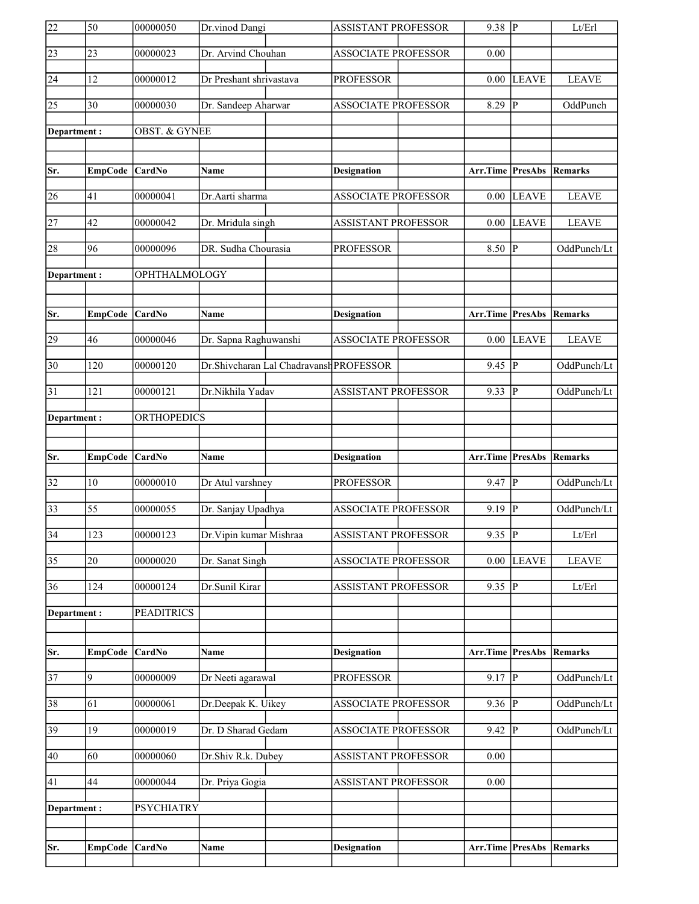| 22              | 50               | 00000050                 | Dr.vinod Dangi                          | <b>ASSISTANT PROFESSOR</b> | $9.38$ P                        |                        | Lt/Erl       |
|-----------------|------------------|--------------------------|-----------------------------------------|----------------------------|---------------------------------|------------------------|--------------|
| 23              | 23               | 00000023                 | Dr. Arvind Chouhan                      | <b>ASSOCIATE PROFESSOR</b> | 0.00                            |                        |              |
| 24              | 12               | 00000012                 | Dr Preshant shrivastava                 | <b>PROFESSOR</b>           | 0.00                            | <b>LEAVE</b>           | <b>LEAVE</b> |
| $\overline{25}$ | 30               | 00000030                 | Dr. Sandeep Aharwar                     | <b>ASSOCIATE PROFESSOR</b> | 8.29                            | P                      | OddPunch     |
| Department :    |                  | <b>OBST. &amp; GYNEE</b> |                                         |                            |                                 |                        |              |
|                 |                  |                          |                                         |                            |                                 |                        |              |
| Sr.             | EmpCode CardNo   |                          | Name                                    | Designation                | <b>Arr.Time PresAbs Remarks</b> |                        |              |
| 26              | 41               | 00000041                 | Dr.Aarti sharma                         | <b>ASSOCIATE PROFESSOR</b> | 0.00                            | <b>LEAVE</b>           | <b>LEAVE</b> |
| $\overline{27}$ | 42               | 00000042                 | Dr. Mridula singh                       | <b>ASSISTANT PROFESSOR</b> | $0.00\,$                        | <b>LEAVE</b>           | <b>LEAVE</b> |
| 28              | 96               | 00000096                 | DR. Sudha Chourasia                     | <b>PROFESSOR</b>           | 8.50                            | P                      | OddPunch/Lt  |
| Department:     |                  | OPHTHALMOLOGY            |                                         |                            |                                 |                        |              |
|                 |                  |                          |                                         |                            |                                 |                        |              |
| Sr.             | EmpCode CardNo   |                          | Name                                    | <b>Designation</b>         | <b>Arr.Time PresAbs Remarks</b> |                        |              |
| 29              | 46               | 00000046                 | Dr. Sapna Raghuwanshi                   | <b>ASSOCIATE PROFESSOR</b> | 0.00                            | <b>LEAVE</b>           | <b>LEAVE</b> |
| $\overline{30}$ | 120              | 00000120                 | Dr.Shivcharan Lal Chadravansh PROFESSOR |                            | 9.45                            | P                      | OddPunch/Lt  |
| 31              | 121              | 00000121                 | Dr.Nikhila Yadav                        | <b>ASSISTANT PROFESSOR</b> | 9.33                            | P                      | OddPunch/Lt  |
| Department:     |                  | <b>ORTHOPEDICS</b>       |                                         |                            |                                 |                        |              |
|                 |                  |                          |                                         |                            |                                 |                        |              |
|                 |                  |                          |                                         |                            |                                 |                        |              |
| Sr.             | <b>EmpCode</b>   | CardNo                   | Name                                    | <b>Designation</b>         | Arr.Time PresAbs                |                        | Remarks      |
| $\overline{32}$ | 10               | 00000010                 | Dr Atul varshney                        | <b>PROFESSOR</b>           | 9.47                            | P                      | OddPunch/Lt  |
| $\overline{33}$ | 55               | 00000055                 | Dr. Sanjay Upadhya                      | <b>ASSOCIATE PROFESSOR</b> | 9.19                            | P                      | OddPunch/Lt  |
| $\overline{34}$ | $\overline{123}$ | 00000123                 | Dr. Vipin kumar Mishraa                 | <b>ASSISTANT PROFESSOR</b> | $9.35$ P                        |                        | Lt/Erl       |
| $\overline{35}$ | 20               | 00000020                 | Dr. Sanat Singh                         | <b>ASSOCIATE PROFESSOR</b> | $0.00\,$                        | <b>LEAVE</b>           | <b>LEAVE</b> |
| 36              | 124              | 00000124                 | Dr.Sunil Kirar                          | <b>ASSISTANT PROFESSOR</b> | 9.35                            | P                      | Lt/Erl       |
| Department:     |                  | <b>PEADITRICS</b>        |                                         |                            |                                 |                        |              |
|                 |                  |                          |                                         |                            |                                 |                        |              |
| Sr.             | <b>EmpCode</b>   | CardNo                   | Name                                    | <b>Designation</b>         | Arr.Time                        | PresAbs                | Remarks      |
| $\overline{37}$ | 9                | 00000009                 | Dr Neeti agarawal                       | <b>PROFESSOR</b>           | $9.17$ P                        |                        | OddPunch/Lt  |
| 38              | 61               | 00000061                 | Dr.Deepak K. Uikey                      | <b>ASSOCIATE PROFESSOR</b> | 9.36                            | IР                     | OddPunch/Lt  |
| 39              | 19               | 00000019                 | Dr. D Sharad Gedam                      | ASSOCIATE PROFESSOR        | 9.42                            | IP.                    | OddPunch/Lt  |
| 40              | 60               | 00000060                 | Dr.Shiv R.k. Dubey                      | <b>ASSISTANT PROFESSOR</b> | 0.00                            |                        |              |
| 41              | 44               | 00000044                 | Dr. Priya Gogia                         | <b>ASSISTANT PROFESSOR</b> | $0.00\,$                        |                        |              |
|                 |                  |                          |                                         |                            |                                 |                        |              |
| Department :    |                  | <b>PSYCHIATRY</b>        |                                         |                            |                                 |                        |              |
| Sr.             | <b>EmpCode</b>   | $\vert$ CardNo           | Name                                    | <b>Designation</b>         | Arr.Time                        | <b>PresAbs Remarks</b> |              |